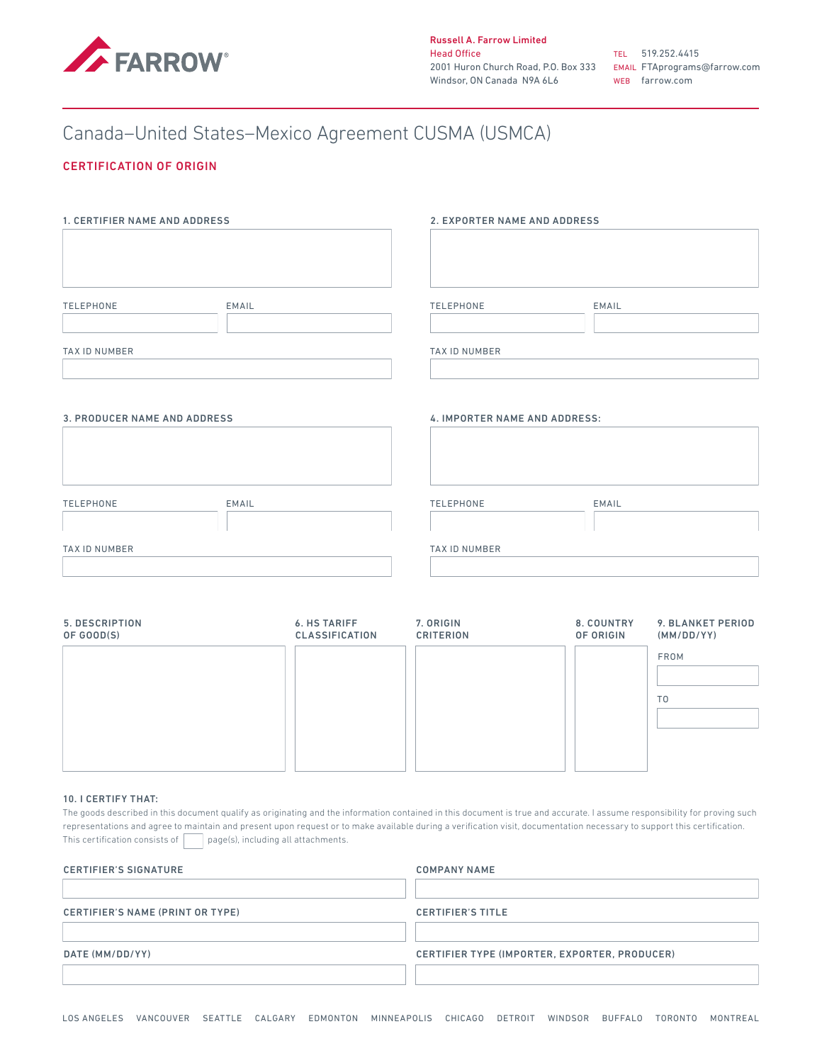

TEL 519.252.4415 EMAIL FTAprograms@farrow.com WEB farrow.com

# Canada–United States–Mexico Agreement CUSMA (USMCA)

# CERTIFICATION OF ORIGIN

# 1. CERTIFIER NAME AND ADDRESS

| 2. EXPORTER NAME AND ADDRESS |  |
|------------------------------|--|
|                              |  |

TELEPHONE EMAIL

TAX ID NUMBER

TAX ID NUMBER

### 3. PRODUCER NAME AND ADDRESS

#### 4. IMPORTER NAME AND ADDRESS:

TELEPHONE EMAIL

| <b>TELEPHONE</b> | EMAIL | TELEPHONE     | EMAIL |  |
|------------------|-------|---------------|-------|--|
| TAX ID NUMBER    |       | TAX ID NUMBER |       |  |

| 5. DESCRIPTION<br>OF GOOD(S) | <b>6. HS TARIFF</b><br><b>CLASSIFICATION</b> | 7. ORIGIN<br>CRITERION | 8. COUNTRY<br>OF ORIGIN | 9. BLANKET PERIOD<br>(MM/DD/YY) |
|------------------------------|----------------------------------------------|------------------------|-------------------------|---------------------------------|
|                              |                                              |                        |                         | FROM                            |
|                              |                                              |                        |                         | T <sub>0</sub>                  |
|                              |                                              |                        |                         |                                 |
|                              |                                              |                        |                         |                                 |

#### 10. I CERTIFY THAT:

The goods described in this document qualify as originating and the information contained in this document is true and accurate. I assume responsibility for proving such representations and agree to maintain and present upon request or to make available during a verification visit, documentation necessary to support this certification. This certification consists of  $\Box$  page(s), including all attachments.

| <b>CERTIFIER'S SIGNATURE</b>     | <b>COMPANY NAME</b>                           |
|----------------------------------|-----------------------------------------------|
|                                  |                                               |
| CERTIFIER'S NAME (PRINT OR TYPE) | <b>CERTIFIER'S TITLE</b>                      |
|                                  | CERTIFIER TYPE (IMPORTER, EXPORTER, PRODUCER) |
| DATE (MM/DD/YY)                  |                                               |
|                                  |                                               |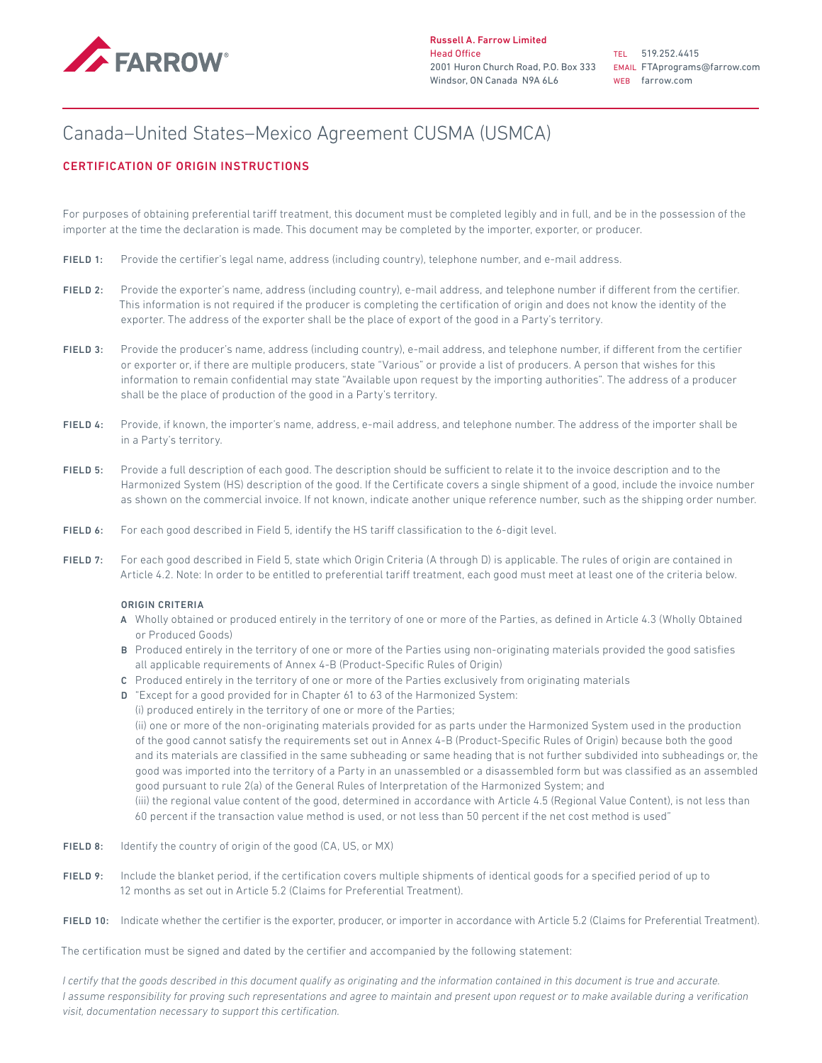

TEL 519.252.4415 EMAIL FTAprograms@farrow.com WEB farrow.com

# Canada–United States–Mexico Agreement CUSMA (USMCA)

# CERTIFICATION OF ORIGIN INSTRUCTIONS

For purposes of obtaining preferential tariff treatment, this document must be completed legibly and in full, and be in the possession of the importer at the time the declaration is made. This document may be completed by the importer, exporter, or producer.

- FIELD 1: Provide the certifier's legal name, address (including country), telephone number, and e-mail address.
- FIELD 2: Provide the exporter's name, address (including country), e-mail address, and telephone number if different from the certifier. This information is not required if the producer is completing the certification of origin and does not know the identity of the exporter. The address of the exporter shall be the place of export of the good in a Party's territory.
- FIELD 3: Provide the producer's name, address (including country), e-mail address, and telephone number, if different from the certifier or exporter or, if there are multiple producers, state "Various" or provide a list of producers. A person that wishes for this information to remain confidential may state "Available upon request by the importing authorities". The address of a producer shall be the place of production of the good in a Party's territory.
- FIELD 4: Provide, if known, the importer's name, address, e-mail address, and telephone number. The address of the importer shall be in a Party's territory.
- FIELD 5: Provide a full description of each good. The description should be sufficient to relate it to the invoice description and to the Harmonized System (HS) description of the good. If the Certificate covers a single shipment of a good, include the invoice number as shown on the commercial invoice. If not known, indicate another unique reference number, such as the shipping order number.
- FIELD 6: For each good described in Field 5, identify the HS tariff classification to the 6-digit level.
- FIELD 7: For each good described in Field 5, state which Origin Criteria (A through D) is applicable. The rules of origin are contained in Article 4.2. Note: In order to be entitled to preferential tariff treatment, each good must meet at least one of the criteria below.

## ORIGIN CRITERIA

- A Wholly obtained or produced entirely in the territory of one or more of the Parties, as defined in Article 4.3 (Wholly Obtained or Produced Goods)
- B Produced entirely in the territory of one or more of the Parties using non-originating materials provided the good satisfies all applicable requirements of Annex 4-B (Product-Specific Rules of Origin)
- C Produced entirely in the territory of one or more of the Parties exclusively from originating materials
- D "Except for a good provided for in Chapter 61 to 63 of the Harmonized System:
- (i) produced entirely in the territory of one or more of the Parties;

(ii) one or more of the non-originating materials provided for as parts under the Harmonized System used in the production of the good cannot satisfy the requirements set out in Annex 4-B (Product-Specific Rules of Origin) because both the good and its materials are classified in the same subheading or same heading that is not further subdivided into subheadings or, the good was imported into the territory of a Party in an unassembled or a disassembled form but was classified as an assembled good pursuant to rule 2(a) of the General Rules of Interpretation of the Harmonized System; and

(iii) the regional value content of the good, determined in accordance with Article 4.5 (Regional Value Content), is not less than 60 percent if the transaction value method is used, or not less than 50 percent if the net cost method is used"

- FIELD 8: Identify the country of origin of the good (CA, US, or MX)
- FIELD 9: Include the blanket period, if the certification covers multiple shipments of identical goods for a specified period of up to 12 months as set out in Article 5.2 (Claims for Preferential Treatment).
- FIELD 10: Indicate whether the certifier is the exporter, producer, or importer in accordance with Article 5.2 (Claims for Preferential Treatment).

The certification must be signed and dated by the certifier and accompanied by the following statement:

*I certify that the goods described in this document qualify as originating and the information contained in this document is true and accurate. I* assume responsibility for proving such representations and agree to maintain and present upon request or to make available during a verification *visit, documentation necessary to support this certification.*